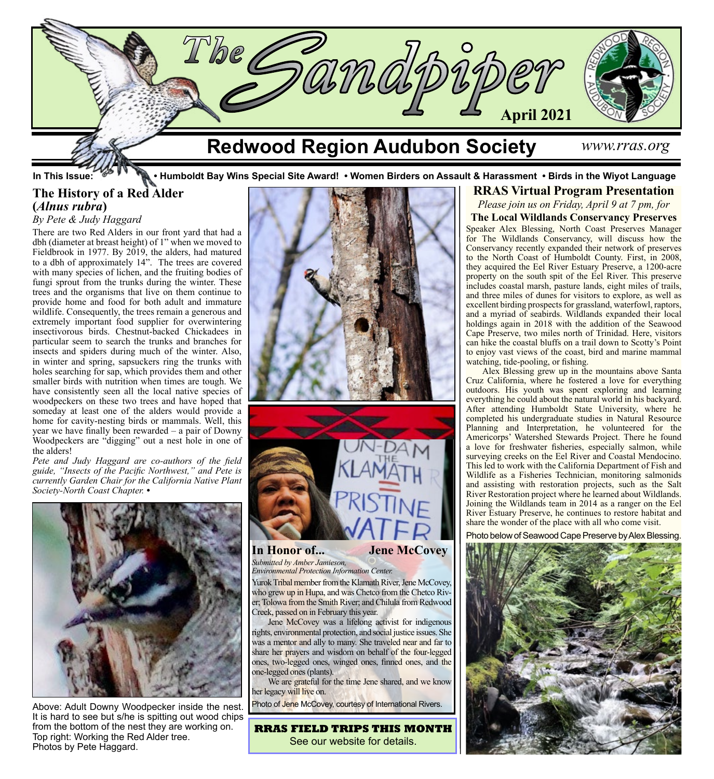

# **The History of a Red Alder (***Alnus rubra***)**

## *By Pete & Judy Haggard*

There are two Red Alders in our front yard that had a dbh (diameter at breast height) of 1" when we moved to Fieldbrook in 1977. By 2019, the alders, had matured to a dbh of approximately 14". The trees are covered with many species of lichen, and the fruiting bodies of fungi sprout from the trunks during the winter. These trees and the organisms that live on them continue to provide home and food for both adult and immature wildlife. Consequently, the trees remain a generous and extremely important food supplier for overwintering insectivorous birds. Chestnut-backed Chickadees in particular seem to search the trunks and branches for insects and spiders during much of the winter. Also, in winter and spring, sapsuckers ring the trunks with holes searching for sap, which provides them and other smaller birds with nutrition when times are tough. We have consistently seen all the local native species of woodpeckers on these two trees and have hoped that someday at least one of the alders would provide a home for cavity-nesting birds or mammals. Well, this year we have finally been rewarded – a pair of Downy Woodpeckers are "digging" out a nest hole in one of the alders!

*Pete and Judy Haggard are co-authors of the field guide, "Insects of the Pacific Northwest," and Pete is currently Garden Chair for the California Native Plant Society-North Coast Chapter. •*



Above: Adult Downy Woodpecker inside the nest. It is hard to see but s/he is spitting out wood chips from the bottom of the nest they are working on. Top right: Working the Red Alder tree. Photos by Pete Haggard.





## **In Honor of... Jene McCovey** *Submitted by Amber Jamieson,*

*Environmental Protection Information Center.* Yurok Tribal member from the Klamath River, Jene McCovey, who grew up in Hupa, and was Chetco from the Chetco River; Tolowa from the Smith River; and Chilula from Redwood Creek, passed on in February this year.

Jene McCovey was a lifelong activist for indigenous rights, environmental protection, and social justice issues. She was a mentor and ally to many. She traveled near and far to share her prayers and wisdom on behalf of the four-legged ones, two-legged ones, winged ones, finned ones, and the one-legged ones (plants).

We are grateful for the time Jene shared, and we know her legacy will live on.

Photo of Jene McCovey, courtesy of International Rivers.

**RRAS FIELD TRIPS THIS MONTH** See our website for details.

# In This Issue: **• • • • • • • • • Humboldt Bay Wins Special Site Award! • Women Birders on Assault & Harassment • Birds in the Wiyot Language RRAS Virtual Program Presentation**

*Please join us on Friday, April 9 at 7 pm, for*

**The Local Wildlands Conservancy Preserves** Speaker Alex Blessing, North Coast Preserves Manager for The Wildlands Conservancy, will discuss how the Conservancy recently expanded their network of preserves to the North Coast of Humboldt County. First, in 2008, they acquired the Eel River Estuary Preserve, a 1200-acre property on the south spit of the Eel River. This preserve includes coastal marsh, pasture lands, eight miles of trails, and three miles of dunes for visitors to explore, as well as excellent birding prospects for grassland, waterfowl, raptors, and a myriad of seabirds. Wildlands expanded their local holdings again in 2018 with the addition of the Seawood Cape Preserve, two miles north of Trinidad. Here, visitors can hike the coastal bluffs on a trail down to Scotty's Point to enjoy vast views of the coast, bird and marine mammal watching, tide-pooling, or fishing.

Alex Blessing grew up in the mountains above Santa Cruz California, where he fostered a love for everything outdoors. His youth was spent exploring and learning everything he could about the natural world in his backyard. After attending Humboldt State University, where he completed his undergraduate studies in Natural Resource Planning and Interpretation, he volunteered for the Americorps' Watershed Stewards Project. There he found a love for freshwater fisheries, especially salmon, while surveying creeks on the Eel River and Coastal Mendocino. This led to work with the California Department of Fish and Wildlife as a Fisheries Technician, monitoring salmonids and assisting with restoration projects, such as the Salt River Restoration project where he learned about Wildlands. Joining the Wildlands team in 2014 as a ranger on the Eel River Estuary Preserve, he continues to restore habitat and share the wonder of the place with all who come visit.

Photo below of Seawood Cape Preserve by Alex Blessing.

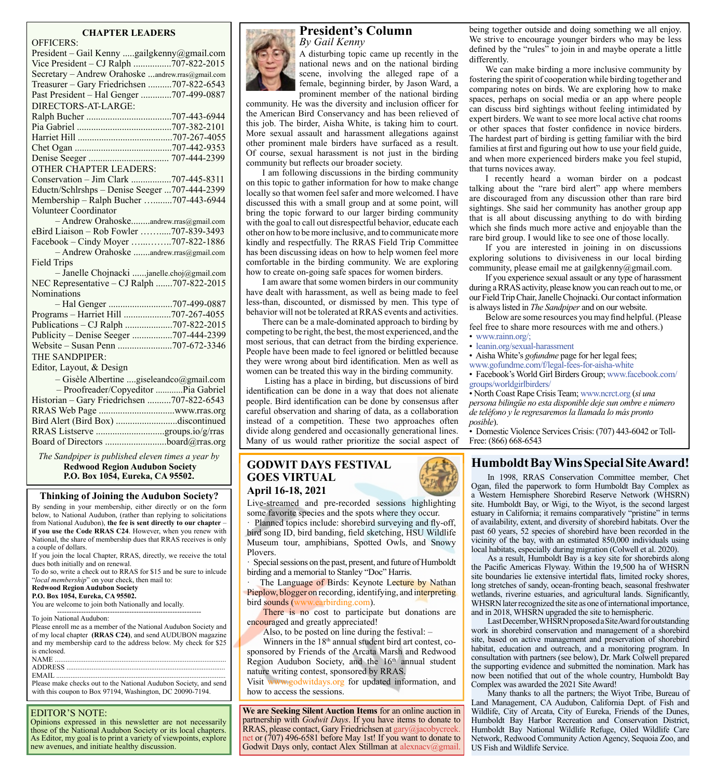# **CHAPTER LEADERS**

| <b>OFFICERS:</b>                                  |  |
|---------------------------------------------------|--|
| President - Gail Kenny gailgkenny@gmail.com       |  |
| Vice President - CJ Ralph 707-822-2015            |  |
| Secretary - Andrew Orahoske andrew.rras@gmail.com |  |
| Treasurer - Gary Friedrichsen 707-822-6543        |  |
| Past President - Hal Genger 707-499-0887          |  |
| DIRECTORS-AT-LARGE:                               |  |
|                                                   |  |
|                                                   |  |
|                                                   |  |
|                                                   |  |
|                                                   |  |
| <b>OTHER CHAPTER LEADERS:</b>                     |  |
| Conservation - Jim Clark 707-445-8311             |  |
| Eductn/Schlrshps - Denise Seeger 707-444-2399     |  |
| Membership - Ralph Bucher 707-443-6944            |  |
| Volunteer Coordinator                             |  |
| - Andrew Orahoskeandrew.rras@gmail.com            |  |
| eBird Liaison - Rob Fowler 707-839-3493           |  |
| Facebook - Cindy Moyer 707-822-1886               |  |
| - Andrew Orahoske andrew.rras@gmail.com           |  |
| <b>Field Trips</b>                                |  |
| - Janelle Chojnacki janelle.choj@gmail.com        |  |
| NEC Representative - CJ Ralph 707-822-2015        |  |
| Nominations                                       |  |
|                                                   |  |
| Programs - Harriet Hill 707-267-4055              |  |
| Publications - CJ Ralph 707-822-2015              |  |
| Publicity - Denise Seeger 707-444-2399            |  |
|                                                   |  |
| <b>THE SANDPIPER:</b>                             |  |
| Editor, Layout, & Design                          |  |
| - Gisèle Albertine giseleandco@gmail.com          |  |
| - Proofreader/Copyeditor Pia Gabriel              |  |
| Historian - Gary Friedrichsen 707-822-6543        |  |
|                                                   |  |
| Bird Alert (Bird Box) discontinued                |  |
|                                                   |  |
| Board of Directors board@rras.org                 |  |
|                                                   |  |

*The Sandpiper is published eleven times a year by*  **Redwood Region Audubon Society P.O. Box 1054, Eureka, CA 95502.**

#### **Thinking of Joining the Audubon Society?**

By sending in your membership, either directly or on the form below, to National Audubon, (rather than replying to solicitations from National Audubon), **the fee is sent directly to our chapter** – **if you use the Code RRAS C24**. However, when you renew with National, the share of membership dues that RRAS receives is only a couple of dollars.

If you join the local Chapter, RRAS, directly, we receive the total dues both initially and on renewal.

To do so, write a check out to RRAS for \$15 and be sure to inlcude "*local membership*" on your check, then mail to:

#### **Redwood Region Audubon Society**

**P.O. Box 1054, Eureka, CA 95502.**

You are welcome to join both Nationally and locally. ------------------------------------------------------------

To join National Audubon:

Please enroll me as a member of the National Audubon Society and of my local chapter **(RRAS C24)**, and send AUDUBON magazine and my membership card to the address below. My check for \$25 is enclosed.

| NAME.   |
|---------|
| ADDRESS |
| EMAIL   |

Please make checks out to the National Audubon Society, and send with this coupon to Box 97194, Washington, DC 20090-7194.

### EDITOR'S NOTE:

Opinions expressed in this newsletter are not necessarily those of the National Audubon Society or its local chapters. As Editor, my goal is to print a variety of viewpoints, explore new avenues, and initiate healthy discussion.



A disturbing topic came up recently in the national news and on the national birding scene, involving the alleged rape of a female, beginning birder, by Jason Ward, a prominent member of the national birding

community. He was the diversity and inclusion officer for the American Bird Conservancy and has been relieved of this job. The birder, Aisha White, is taking him to court. More sexual assault and harassment allegations against other prominent male birders have surfaced as a result. Of course, sexual harassment is not just in the birding community but reflects our broader society.

I am following discussions in the birding community on this topic to gather information for how to make change locally so that women feel safer and more welcomed. I have discussed this with a small group and at some point, will bring the topic forward to our larger birding community with the goal to call out disrespectful behavior, educate each other on how to be more inclusive, and to communicate more kindly and respectfully. The RRAS Field Trip Committee has been discussing ideas on how to help women feel more comfortable in the birding community. We are exploring how to create on-going safe spaces for women birders.

I am aware that some women birders in our community have dealt with harassment, as well as being made to feel less-than, discounted, or dismissed by men. This type of behavior will not be tolerated at RRAS events and activities.

There can be a male-dominated approach to birding by competing to be right, the best, the most experienced, and the most serious, that can detract from the birding experience. People have been made to feel ignored or belittled because they were wrong about bird identification. Men as well as women can be treated this way in the birding community.

Listing has a place in birding, but discussions of bird identification can be done in a way that does not alienate people. Bird identification can be done by consensus after careful observation and sharing of data, as a collaboration instead of a competition. These two approaches often divide along gendered and occasionally generational lines. Many of us would rather prioritize the social aspect of

## **GODWIT DAYS FESTIVAL GOES VIRTUAL April 16-18, 2021**

Live-streamed and pre-recorded sessions highlighting some favorite species and the spots where they occur.

Planned topics include: shorebird surveying and fly-off, bird song ID, bird banding, field sketching, HSU Wildlife Museum tour, amphibians, Spotted Owls, and Snowy Plovers.

· Special sessions on the past, present, and future of Humboldt birding and a memorial to Stanley "Doc" Harris.

The Language of Birds: Keynote Lecture by Nathan Pieplow, blogger on recording, identifying, and interpreting bird sounds [\(www.earbirding.com](http://www.earbirding.com)).

There is no cost to participate but donations are encouraged and greatly appreciated!

Also, to be posted on line during the festival: –

Winners in the 18<sup>th</sup> annual student bird art contest, cosponsored by Friends of the Arcata Marsh and Redwood Region Audubon Society, and the  $16<sup>th</sup>$  annual student nature writing contest, sponsored by RRAS.

Visit [www.godwitdays.org](http://www.godwitdays.org) for updated information, and how to access the sessions.

**We are Seeking Silent Auction Items** for an online auction in partnership with *Godwit Days*. If you have items to donate to RRAS, please contact, Gary Friedrichsen at [gary@jacobycreek.](mailto:gary%40jacobycreek.net?subject=) [net](mailto:gary%40jacobycreek.net?subject=) or (707) 496-6581 before May 1st! If you want to donate to Godwit Days only, contact Alex Stillman at alexnacy@gmail.

being together outside and doing something we all enjoy. We strive to encourage younger birders who may be less defined by the "rules" to join in and maybe operate a little differently.

We can make birding a more inclusive community by fostering the spirit of cooperation while birding together and comparing notes on birds. We are exploring how to make spaces, perhaps on social media or an app where people can discuss bird sightings without feeling intimidated by expert birders. We want to see more local active chat rooms or other spaces that foster confidence in novice birders. The hardest part of birding is getting familiar with the bird families at first and figuring out how to use your field guide, and when more experienced birders make you feel stupid, that turns novices away.

I recently heard a woman birder on a podcast talking about the "rare bird alert" app where members are discouraged from any discussion other than rare bird sightings. She said her community has another group app that is all about discussing anything to do with birding which she finds much more active and enjoyable than the rare bird group. I would like to see one of those locally.

If you are interested in joining in on discussions exploring solutions to divisiveness in our local birding community, please email me at gailgkenny@gmail.com.

If you experience sexual assault or any type of harassment during a RRAS activity, please know you can reach out to me, or our Field Trip Chair, Janelle Chojnacki. Our contact information is always listed in *The Sandpiper* and on our website.

Below are some resources you may find helpful. (Please feel free to share more resources with me and others.) • [www.rainn.org/](https://www.rainn.org/
);

• [leanin.org/sexual-harassment](https://leanin.org/sexual-harassment)

• Aisha White's *[gofundme](https://www.gofundme.com/f/legal-fees-for-aisha-white)* page for her legal fees;

[www.gofundme.com/f/legal-fees-for-aisha-white](https://www.gofundme.com/f/legal-fees-for-aisha-white)

• Facebook's World Girl Birders Group; [www.facebook.com/](https://www.facebook.com/groups/worldgirlbirders/) [groups/worldgirlbirders/](https://www.facebook.com/groups/worldgirlbirders/)

• North Coast Rape Crisis Team; www[.ncrct.org](https://www.ncrct.org/) (*si una persona bilingüe no esta disponible deje sun ombre e número de teléfono y le regresaremosla llamada lo más pronto posible*).

• Domestic Violence Services Crisis: (707) 443-6042 or Toll-Free: (866) 668-6543

# **Humboldt Bay Wins Special Site Award!**

In 1998, RRAS Conservation Committee member, Chet Ogan, filed the paperwork to form Humboldt Bay Complex as a Western Hemisphere Shorebird Reserve Network (WHSRN) site. Humboldt Bay, or Wigi, to the Wiyot, is the second largest estuary in California; it remains comparatively "pristine" in terms of availability, extent, and diversity of shorebird habitats. Over the past 60 years, 52 species of shorebird have been recorded in the vicinity of the bay, with an estimated 850,000 individuals using local habitats, especially during migration (Colwell et al. 2020).

As a result, Humboldt Bay is a key site for shorebirds along the Pacific Americas Flyway. Within the 19,500 ha of WHSRN site boundaries lie extensive intertidal flats, limited rocky shores, long stretches of sandy, ocean-fronting beach, seasonal freshwater wetlands, riverine estuaries, and agricultural lands. Significantly, WHSRN later recognized the site as one of international importance, and in 2018, WHSRN upgraded the site to hemispheric.

Last December, WHSRN proposed a Site Award for outstanding work in shorebird conservation and management of a shorebird site, based on active management and preservation of shorebird habitat, education and outreach, and a monitoring program. In consultation with partners (see below), Dr. Mark Colwell prepared the supporting evidence and submitted the nomination. Mark has now been notified that out of the whole country, Humboldt Bay Complex was awarded the 2021 Site Award!

Many thanks to all the partners; the Wiyot Tribe, Bureau of Land Management, CA Audubon, California Dept. of Fish and Wildlife, City of Arcata, City of Eureka, Friends of the Dunes, Humboldt Bay Harbor Recreation and Conservation District, Humboldt Bay National Wildlife Refuge, Oiled Wildlife Care Network, Redwood Community Action Agency, Sequoia Zoo, and US Fish and Wildlife Service.

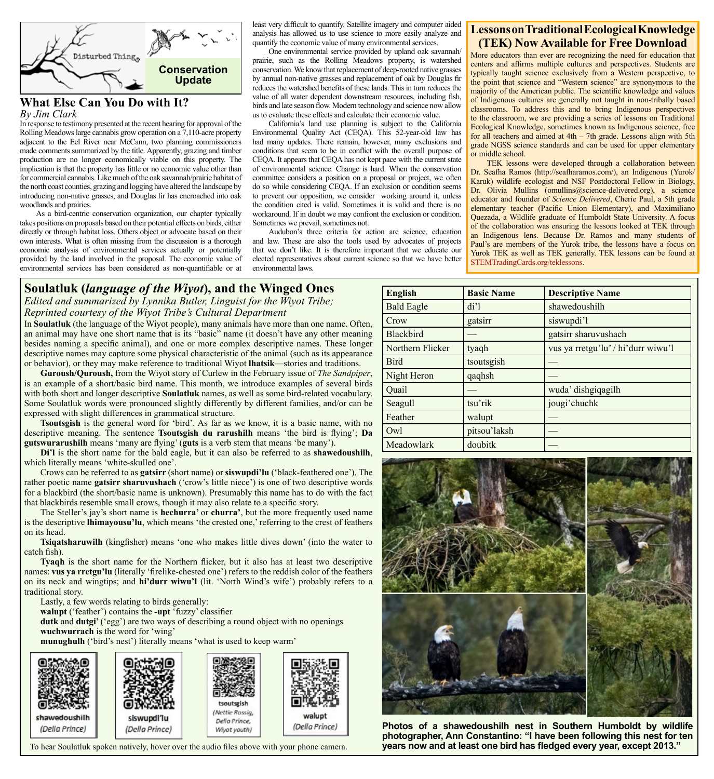

#### **What Else Can You Do with It?** *By Jim Clark*

In response to testimony presented at the recent hearing for approval of the Rolling Meadows large cannabis grow operation on a 7,110-acre property adjacent to the Eel River near McCann, two planning commissioners made comments summarized by the title. Apparently, grazing and timber production are no longer economically viable on this property. The implication is that the property has little or no economic value other than for commercial cannabis. Like much of the oak savannah/prairie habitat of the north coast counties, grazing and logging have altered the landscape by introducing non-native grasses, and Douglas fir has encroached into oak woodlands and prairies.

As a bird-centric conservation organization, our chapter typically takes positions on proposals based on their potential effects on birds, either directly or through habitat loss. Others object or advocate based on their own interests. What is often missing from the discussion is a thorough economic analysis of environmental services actually or potentially provided by the land involved in the proposal. The economic value of environmental services has been considered as non-quantifiable or at least very difficult to quantify. Satellite imagery and computer aided analysis has allowed us to use science to more easily analyze and quantify the economic value of many environmental services.

One environmental service provided by upland oak savannah/ prairie, such as the Rolling Meadows property, is watershed conservation. We know that replacement of deep-rooted native grasses by annual non-native grasses and replacement of oak by Douglas fir reduces the watershed benefits of these lands. This in turn reduces the value of all water dependent downstream resources, including fish birds and late season flow. Modern technology and science now allow us to evaluate these effects and calculate their economic value.

California's land use planning is subject to the California Environmental Quality Act (CEQA). This 52-year-old law has had many updates. There remain, however, many exclusions and conditions that seem to be in conflict with the overall purpose of CEQA. It appears that CEQA has not kept pace with the current state of environmental science. Change is hard. When the conservation committee considers a position on a proposal or project, we often do so while considering CEQA. If an exclusion or condition seems to prevent our opposition, we consider working around it, unless the condition cited is valid. Sometimes it is valid and there is no workaround. If in doubt we may confront the exclusion or condition. Sometimes we prevail, sometimes not.

Audubon's three criteria for action are science, education and law. These are also the tools used by advocates of projects that we don't like. It is therefore important that we educate our elected representatives about current science so that we have better environmental laws.

# **Lessons on Traditional Ecological Knowledge (TEK) Now Available for Free Download**

More educators than ever are recognizing the need for education that centers and affirms multiple cultures and perspectives. Students are typically taught science exclusively from a Western perspective, to the point that science and "Western science" are synonymous to the majority of the American public. The scientific knowledge and values of Indigenous cultures are generally not taught in non-tribally based classrooms. To address this and to bring Indigenous perspectives to the classroom, we are providing a series of lessons on Traditional Ecological Knowledge, sometimes known as Indigenous science, free for all teachers and aimed at 4th – 7th grade. Lessons align with 5th grade NGSS science standards and can be used for upper elementary or middle school.

TEK lessons were developed through a collaboration between Dr. Seafha Ramos (http://seafharamos.com/), an Indigenous (Yurok/ Karuk) wildlife ecologist and NSF Postdoctoral Fellow in Biology, Dr. Olivia Mullins (omullins@science-delivered.org), a science educator and founder of *Science Delivered*, Cherie Paul, a 5th grade elementary teacher (Pacific Union Elementary), and Maximiliano Quezada, a Wildlife graduate of Humboldt State University. A focus of the collaboration was ensuring the lessons looked at TEK through an Indigenous lens. Because Dr. Ramos and many students of Paul's are members of the Yurok tribe, the lessons have a focus on Yurok TEK as well as TEK generally. TEK lessons can be found at [STEMTradingCards.org/teklessons.](http://STEMTradingCards.org/teklessons)

# **Soulatluk (***language of the Wiyot***), and the Winged Ones**

*Edited and summarized by Lynnika Butler, Linguist for the Wiyot Tribe; Reprinted courtesy of the Wiyot Tribe's Cultural Department*

In **Soulatluk** (the language of the Wiyot people), many animals have more than one name. Often, an animal may have one short name that is its "basic" name (it doesn't have any other meaning besides naming a specific animal), and one or more complex descriptive names. These longer descriptive names may capture some physical characteristic of the animal (such as its appearance or behavior), or they may make reference to traditional Wiyot **lhatsik**—stories and traditions.

**Guroush/Quroush,** from the Wiyot story of Curlew in the February issue of *The Sandpiper*, is an example of a short/basic bird name. This month, we introduce examples of several birds with both short and longer descriptive **Soulatluk** names, as well as some bird-related vocabulary. Some Soulatluk words were pronounced slightly differently by different families, and/or can be expressed with slight differences in grammatical structure.

**Tsoutsgish** is the general word for 'bird'. As far as we know, it is a basic name, with no descriptive meaning. The sentence **Tsoutsgish du rarushilh** means 'the bird is flying'; **Da gutswurarushilh** means 'many are flying' (**guts** is a verb stem that means 'be many').

**Di'l** is the short name for the bald eagle, but it can also be referred to as **shawedoushilh**, which literally means 'white-skulled one'.

Crows can be referred to as **gatsirr** (short name) or **siswupdi'lu** ('black-feathered one'). The rather poetic name **gatsirr sharuvushach** ('crow's little niece') is one of two descriptive words for a blackbird (the short/basic name is unknown). Presumably this name has to do with the fact that blackbirds resemble small crows, though it may also relate to a specific story.

The Steller's jay's short name is **hechurra'** or **churra'**, but the more frequently used name is the descriptive **lhimayousu'lu**, which means 'the crested one,' referring to the crest of feathers on its head.

**Tsiqatsharuwilh** (kingfisher) means 'one who makes little dives down' (into the water to catch fish).

**Tyaqh** is the short name for the Northern flicker, but it also has at least two descriptive names: **vus ya rretgu'lu** (literally 'firelike-chested one') refers to the reddish color of the feathers on its neck and wingtips; and **hi'durr wiwu'l** (lit. 'North Wind's wife') probably refers to a traditional story.

Lastly, a few words relating to birds generally:

**walupt** ('feather') contains the **-upt** 'fuzzy' classifier

**dutk** and **dutgi'** ('egg') are two ways of describing a round object with no openings **wuchwurrach** is the word for 'wing'

**munughulh** ('bird's nest') literally means 'what is used to keep warm'



To hear Soulatluk spoken natively, hover over the audio files above with your phone camera.

| <b>English</b>    | <b>Basic Name</b> | <b>Descriptive Name</b>            |
|-------------------|-------------------|------------------------------------|
| <b>Bald Eagle</b> | di'1              | shawedoushilh                      |
| Crow              | gatsirr           | siswupdi'l                         |
| <b>Blackbird</b>  |                   | gatsirr sharuvushach               |
| Northern Flicker  | tyaqh             | vus ya rretgu'lu' / hi'durr wiwu'l |
| <b>Bird</b>       | tsoutsgish        |                                    |
| Night Heron       | qaqhsh            |                                    |
| Quail             |                   | wuda' dishgiqagilh                 |
| Seagull           | tsu'rik           | jougi'chuchk                       |
| Feather           | walupt            |                                    |
| Owl               | pitsou'laksh      |                                    |
| Meadowlark        | doubitk           |                                    |



**Photos of a shawedoushilh nest in Southern Humboldt by wildlife photographer, Ann Constantino: "I have been following this nest for ten years now and at least one bird has fledged every year, except 2013."**